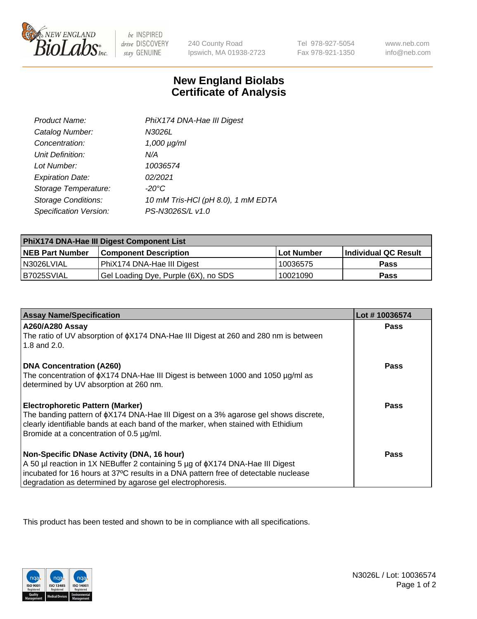

 $be$  INSPIRED drive DISCOVERY stay GENUINE

240 County Road Ipswich, MA 01938-2723 Tel 978-927-5054 Fax 978-921-1350

www.neb.com info@neb.com

## **New England Biolabs Certificate of Analysis**

| Product Name:              | PhiX174 DNA-Hae III Digest         |
|----------------------------|------------------------------------|
| Catalog Number:            | N3026L                             |
| Concentration:             | $1,000 \mu g/ml$                   |
| Unit Definition:           | N/A                                |
| Lot Number:                | 10036574                           |
| <b>Expiration Date:</b>    | 02/2021                            |
| Storage Temperature:       | $-20^{\circ}$ C                    |
| <b>Storage Conditions:</b> | 10 mM Tris-HCl (pH 8.0), 1 mM EDTA |
| Specification Version:     | PS-N3026S/L v1.0                   |

| PhiX174 DNA-Hae III Digest Component List |                                      |            |                      |  |
|-------------------------------------------|--------------------------------------|------------|----------------------|--|
| <b>NEB Part Number</b>                    | <b>Component Description</b>         | Lot Number | Individual QC Result |  |
| N3026LVIAL                                | PhiX174 DNA-Hae III Digest           | 10036575   | <b>Pass</b>          |  |
| B7025SVIAL                                | Gel Loading Dye, Purple (6X), no SDS | 10021090   | <b>Pass</b>          |  |

| <b>Assay Name/Specification</b>                                                                                               | Lot #10036574 |
|-------------------------------------------------------------------------------------------------------------------------------|---------------|
| <b>A260/A280 Assay</b>                                                                                                        | <b>Pass</b>   |
| The ratio of UV absorption of $\phi$ X174 DNA-Hae III Digest at 260 and 280 nm is between<br>1.8 and 2.0.                     |               |
| <b>DNA Concentration (A260)</b>                                                                                               | Pass          |
| The concentration of $\phi$ X174 DNA-Hae III Digest is between 1000 and 1050 µg/ml as                                         |               |
| determined by UV absorption at 260 nm.                                                                                        |               |
| <b>Electrophoretic Pattern (Marker)</b>                                                                                       | Pass          |
| The banding pattern of $\phi$ X174 DNA-Hae III Digest on a 3% agarose gel shows discrete,                                     |               |
| clearly identifiable bands at each band of the marker, when stained with Ethidium<br>Bromide at a concentration of 0.5 µg/ml. |               |
|                                                                                                                               |               |
| Non-Specific DNase Activity (DNA, 16 hour)                                                                                    | Pass          |
| A 50 µl reaction in 1X NEBuffer 2 containing 5 µg of $\phi$ X174 DNA-Hae III Digest                                           |               |
| incubated for 16 hours at 37°C results in a DNA pattern free of detectable nuclease                                           |               |
| degradation as determined by agarose gel electrophoresis.                                                                     |               |

This product has been tested and shown to be in compliance with all specifications.